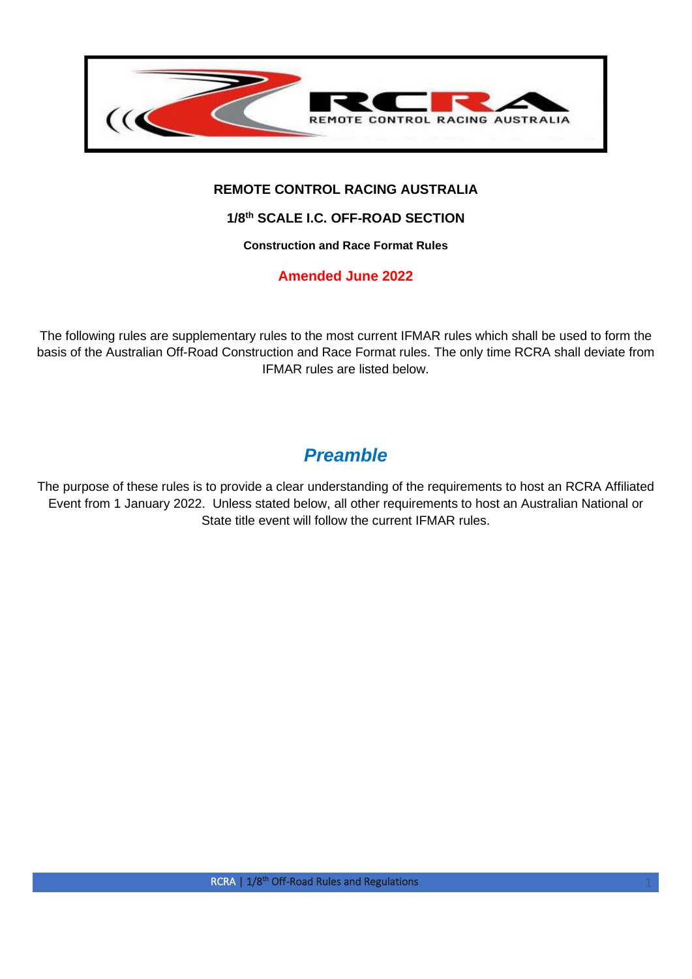

## **REMOTE CONTROL RACING AUSTRALIA**

## **1/8th SCALE I.C. OFF-ROAD SECTION**

**Construction and Race Format Rules**

**Amended June 2022**

The following rules are supplementary rules to the most current IFMAR rules which shall be used to form the basis of the Australian Off-Road Construction and Race Format rules. The only time RCRA shall deviate from IFMAR rules are listed below.

## *Preamble*

The purpose of these rules is to provide a clear understanding of the requirements to host an RCRA Affiliated Event from 1 January 2022. Unless stated below, all other requirements to host an Australian National or State title event will follow the current IFMAR rules.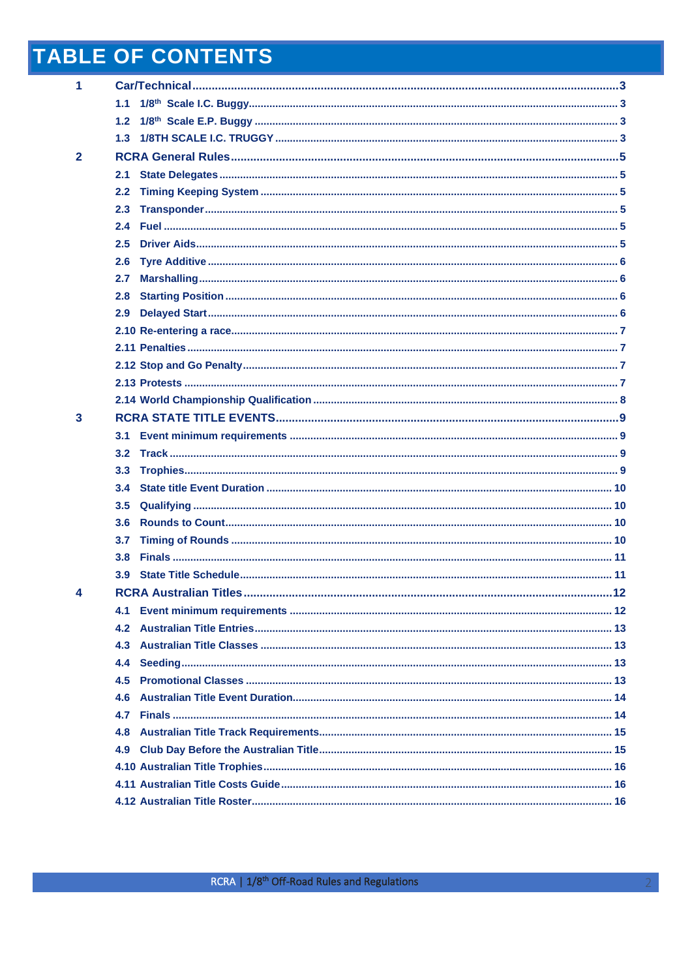# **TABLE OF CONTENTS**

| 1            |                  |  |
|--------------|------------------|--|
|              | 1.1 <sub>1</sub> |  |
|              | 1.2              |  |
|              | 1.3 <sub>1</sub> |  |
| $\mathbf{2}$ |                  |  |
|              | 2.1              |  |
|              | 2.2              |  |
|              | 2.3 <sub>1</sub> |  |
|              | 2.4              |  |
|              | 2.5              |  |
|              | 2.6              |  |
|              | 2.7              |  |
|              | 2.8              |  |
|              | 2.9              |  |
|              |                  |  |
|              |                  |  |
|              |                  |  |
|              |                  |  |
|              |                  |  |
| 3            |                  |  |
|              | 3.1              |  |
|              | 3.2              |  |
|              | 3.3              |  |
|              | $3.4^{\circ}$    |  |
|              | 3.5              |  |
|              | 3.6              |  |
|              | 3.7              |  |
|              | 3.8 <sub>1</sub> |  |
|              |                  |  |
| 4            |                  |  |
|              | 4.1              |  |
|              | 4.2              |  |
|              | 4.3              |  |
|              | 4.4              |  |
|              | 4.5              |  |
|              | 4.6              |  |
|              | 4.7              |  |
|              | 4.8              |  |
|              | 4.9              |  |
|              |                  |  |
|              |                  |  |
|              |                  |  |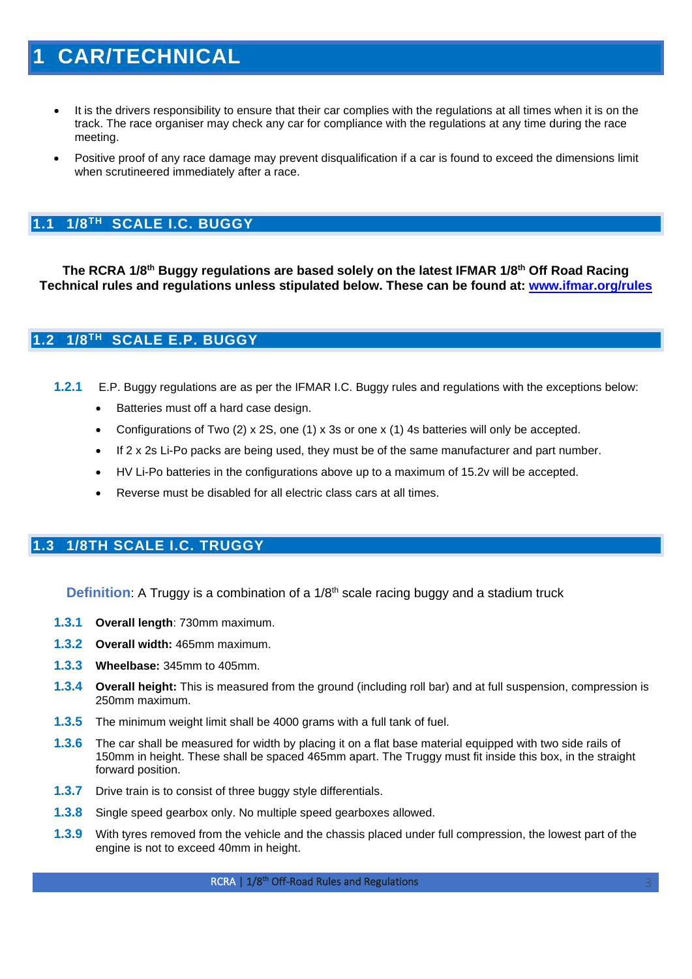## <span id="page-2-0"></span>**1 CAR/TECHNICAL**

- It is the drivers responsibility to ensure that their car complies with the regulations at all times when it is on the track. The race organiser may check any car for compliance with the regulations at any time during the race meeting.
- Positive proof of any race damage may prevent disqualification if a car is found to exceed the dimensions limit when scrutineered immediately after a race.

## <span id="page-2-1"></span>**1.1 1/8TH SCALE I.C. BUGGY**

**The RCRA 1/8th Buggy regulations are based solely on the latest IFMAR 1/8th Off Road Racing Technical rules and regulations unless stipulated below. These can be found at: [www.ifmar.org/rules](http://www.ifmar.org/rules)**

## <span id="page-2-2"></span>**1.2 1/8TH SCALE E.P. BUGGY**

- **1.2.1** E.P. Buggy regulations are as per the IFMAR I.C. Buggy rules and regulations with the exceptions below:
	- Batteries must off a hard case design.
	- Configurations of Two (2) x 2S, one (1) x 3s or one x (1) 4s batteries will only be accepted.
	- If 2 x 2s Li-Po packs are being used, they must be of the same manufacturer and part number.
	- HV Li-Po batteries in the configurations above up to a maximum of 15.2v will be accepted.
	- Reverse must be disabled for all electric class cars at all times.

## <span id="page-2-3"></span>**1.3 1/8TH SCALE I.C. TRUGGY**

**Definition:** A Truggy is a combination of a 1/8<sup>th</sup> scale racing buggy and a stadium truck

- **1.3.1 Overall length**: 730mm maximum.
- **1.3.2 Overall width:** 465mm maximum.
- **1.3.3 Wheelbase:** 345mm to 405mm.
- **1.3.4 Overall height:** This is measured from the ground (including roll bar) and at full suspension, compression is 250mm maximum.
- **1.3.5** The minimum weight limit shall be 4000 grams with a full tank of fuel.
- **1.3.6** The car shall be measured for width by placing it on a flat base material equipped with two side rails of 150mm in height. These shall be spaced 465mm apart. The Truggy must fit inside this box, in the straight forward position.
- **1.3.7** Drive train is to consist of three buggy style differentials.
- **1.3.8** Single speed gearbox only. No multiple speed gearboxes allowed.
- **1.3.9** With tyres removed from the vehicle and the chassis placed under full compression, the lowest part of the engine is not to exceed 40mm in height.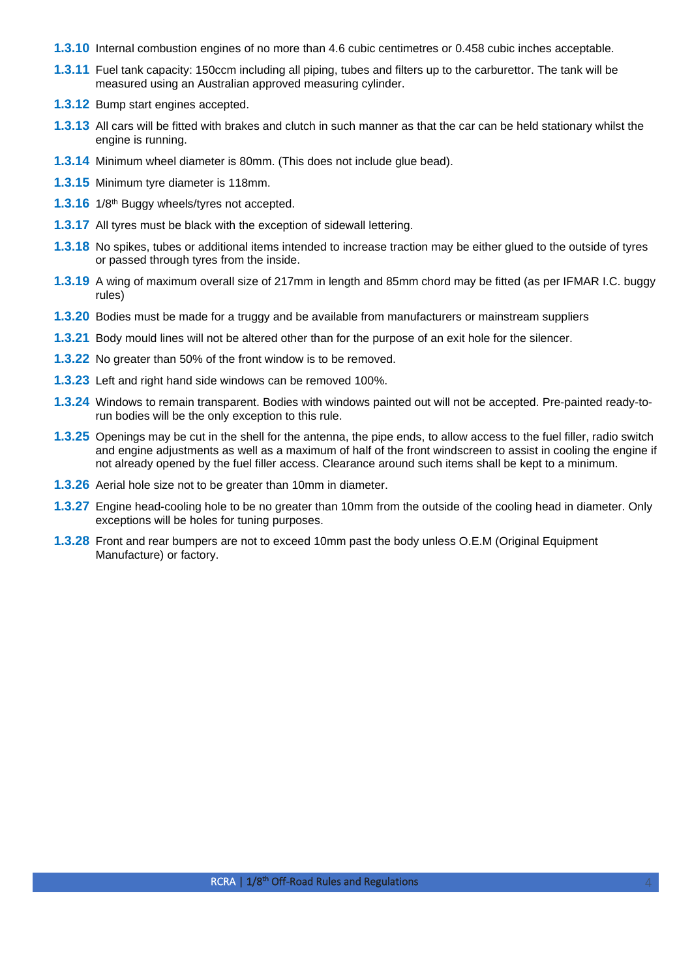- **1.3.10** Internal combustion engines of no more than 4.6 cubic centimetres or 0.458 cubic inches acceptable.
- **1.3.11** Fuel tank capacity: 150ccm including all piping, tubes and filters up to the carburettor. The tank will be measured using an Australian approved measuring cylinder.
- **1.3.12** Bump start engines accepted.
- **1.3.13** All cars will be fitted with brakes and clutch in such manner as that the car can be held stationary whilst the engine is running.
- **1.3.14** Minimum wheel diameter is 80mm. (This does not include glue bead).
- **1.3.15** Minimum tyre diameter is 118mm.
- 1.3.16 1/8<sup>th</sup> Buggy wheels/tyres not accepted.
- **1.3.17** All tyres must be black with the exception of sidewall lettering.
- **1.3.18** No spikes, tubes or additional items intended to increase traction may be either glued to the outside of tyres or passed through tyres from the inside.
- **1.3.19** A wing of maximum overall size of 217mm in length and 85mm chord may be fitted (as per IFMAR I.C. buggy rules)
- **1.3.20** Bodies must be made for a truggy and be available from manufacturers or mainstream suppliers
- **1.3.21** Body mould lines will not be altered other than for the purpose of an exit hole for the silencer.
- **1.3.22** No greater than 50% of the front window is to be removed.
- **1.3.23** Left and right hand side windows can be removed 100%.
- **1.3.24** Windows to remain transparent. Bodies with windows painted out will not be accepted. Pre-painted ready-torun bodies will be the only exception to this rule.
- **1.3.25** Openings may be cut in the shell for the antenna, the pipe ends, to allow access to the fuel filler, radio switch and engine adjustments as well as a maximum of half of the front windscreen to assist in cooling the engine if not already opened by the fuel filler access. Clearance around such items shall be kept to a minimum.
- **1.3.26** Aerial hole size not to be greater than 10mm in diameter.
- **1.3.27** Engine head-cooling hole to be no greater than 10mm from the outside of the cooling head in diameter. Only exceptions will be holes for tuning purposes.
- **1.3.28** Front and rear bumpers are not to exceed 10mm past the body unless O.E.M (Original Equipment Manufacture) or factory.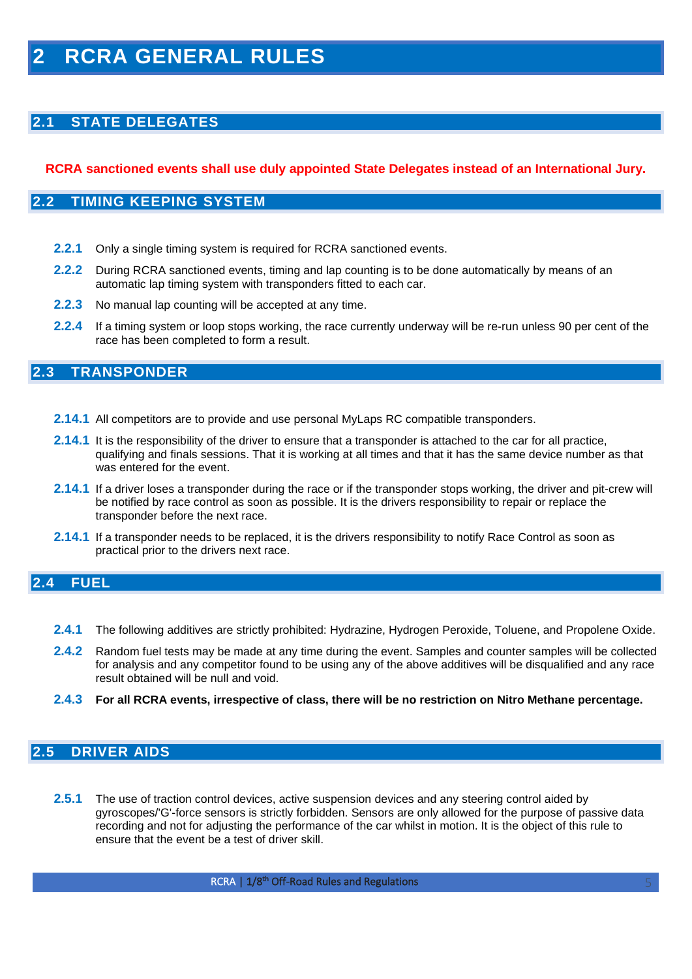## <span id="page-4-1"></span><span id="page-4-0"></span>**2.1 STATE DELEGATES**

### <span id="page-4-2"></span>**RCRA sanctioned events shall use duly appointed State Delegates instead of an International Jury.**

#### **2.2 TIMING KEEPING SYSTEM**

- **2.2.1** Only a single timing system is required for RCRA sanctioned events.
- **2.2.2** During RCRA sanctioned events, timing and lap counting is to be done automatically by means of an automatic lap timing system with transponders fitted to each car.
- **2.2.3** No manual lap counting will be accepted at any time.
- <span id="page-4-3"></span>**2.2.4** If a timing system or loop stops working, the race currently underway will be re-run unless 90 per cent of the race has been completed to form a result.

## **2.3 TRANSPONDER**

- **2.14.1** All competitors are to provide and use personal MyLaps RC compatible transponders.
- **2.14.1** It is the responsibility of the driver to ensure that a transponder is attached to the car for all practice, qualifying and finals sessions. That it is working at all times and that it has the same device number as that was entered for the event.
- **2.14.1** If a driver loses a transponder during the race or if the transponder stops working, the driver and pit-crew will be notified by race control as soon as possible. It is the drivers responsibility to repair or replace the transponder before the next race.
- <span id="page-4-4"></span>**2.14.1** If a transponder needs to be replaced, it is the drivers responsibility to notify Race Control as soon as practical prior to the drivers next race.

## **2.4 FUEL**

- **2.4.1** The following additives are strictly prohibited: Hydrazine, Hydrogen Peroxide, Toluene, and Propolene Oxide.
- **2.4.2** Random fuel tests may be made at any time during the event. Samples and counter samples will be collected for analysis and any competitor found to be using any of the above additives will be disqualified and any race result obtained will be null and void.
- **2.4.3 For all RCRA events, irrespective of class, there will be no restriction on Nitro Methane percentage.**

## <span id="page-4-5"></span>**2.5 DRIVER AIDS**

**2.5.1** The use of traction control devices, active suspension devices and any steering control aided by gyroscopes/'G'-force sensors is strictly forbidden. Sensors are only allowed for the purpose of passive data recording and not for adjusting the performance of the car whilst in motion. It is the object of this rule to ensure that the event be a test of driver skill.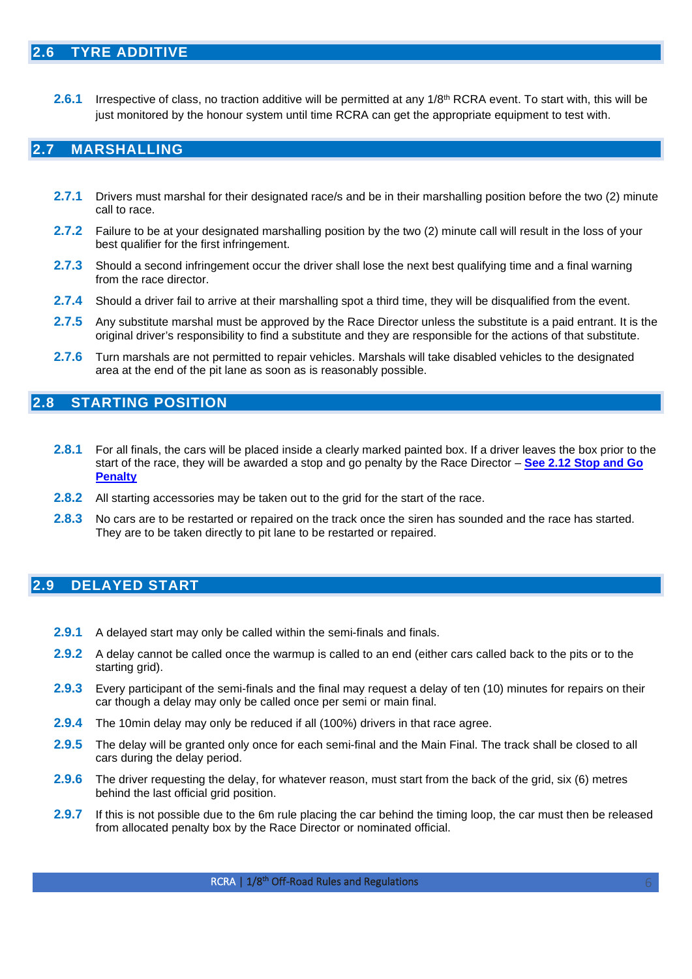<span id="page-5-0"></span>**2.6.1** Irrespective of class, no traction additive will be permitted at any 1/8<sup>th</sup> RCRA event. To start with, this will be just monitored by the honour system until time RCRA can get the appropriate equipment to test with.

## <span id="page-5-1"></span>**2.7 MARSHALLING**

- **2.7.1** Drivers must marshal for their designated race/s and be in their marshalling position before the two (2) minute call to race.
- **2.7.2** Failure to be at your designated marshalling position by the two (2) minute call will result in the loss of your best qualifier for the first infringement.
- **2.7.3** Should a second infringement occur the driver shall lose the next best qualifying time and a final warning from the race director.
- **2.7.4** Should a driver fail to arrive at their marshalling spot a third time, they will be disqualified from the event.
- **2.7.5** Any substitute marshal must be approved by the Race Director unless the substitute is a paid entrant. It is the original driver's responsibility to find a substitute and they are responsible for the actions of that substitute.
- <span id="page-5-2"></span>**2.7.6** Turn marshals are not permitted to repair vehicles. Marshals will take disabled vehicles to the designated area at the end of the pit lane as soon as is reasonably possible.

## **2.8 STARTING POSITION**

- **2.8.1** For all finals, the cars will be placed inside a clearly marked painted box. If a driver leaves the box prior to the start of the race, they will be awarded a stop and go penalty by the Race Director – **[See 2.12 Stop and Go](#page-6-4)  [Penalty](#page-6-4)**
- **2.8.2** All starting accessories may be taken out to the grid for the start of the race.
- **2.8.3** No cars are to be restarted or repaired on the track once the siren has sounded and the race has started. They are to be taken directly to pit lane to be restarted or repaired.

## <span id="page-5-3"></span>**2.9 DELAYED START**

- **2.9.1** A delayed start may only be called within the semi-finals and finals.
- **2.9.2** A delay cannot be called once the warmup is called to an end (either cars called back to the pits or to the starting grid).
- **2.9.3** Every participant of the semi-finals and the final may request a delay of ten (10) minutes for repairs on their car though a delay may only be called once per semi or main final.
- **2.9.4** The 10min delay may only be reduced if all (100%) drivers in that race agree.
- **2.9.5** The delay will be granted only once for each semi-final and the Main Final. The track shall be closed to all cars during the delay period.
- **2.9.6** The driver requesting the delay, for whatever reason, must start from the back of the grid, six (6) metres behind the last official grid position.
- **2.9.7** If this is not possible due to the 6m rule placing the car behind the timing loop, the car must then be released from allocated penalty box by the Race Director or nominated official.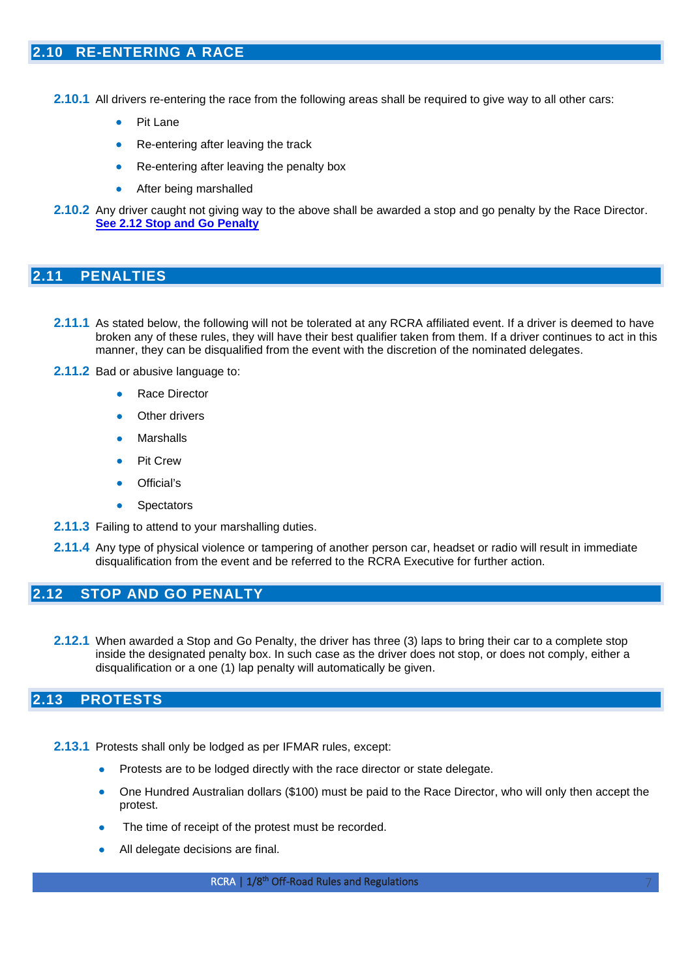- <span id="page-6-0"></span>**2.10.1** All drivers re-entering the race from the following areas shall be required to give way to all other cars:
	- Pit Lane
	- Re-entering after leaving the track
	- Re-entering after leaving the penalty box
	- After being marshalled
- **2.10.2** Any driver caught not giving way to the above shall be awarded a stop and go penalty by the Race Director. **See [2.12 Stop and Go Penalty](#page-6-4)**

#### <span id="page-6-1"></span>**2.11 PENALTIES**

- **2.11.1** As stated below, the following will not be tolerated at any RCRA affiliated event. If a driver is deemed to have broken any of these rules, they will have their best qualifier taken from them. If a driver continues to act in this manner, they can be disqualified from the event with the discretion of the nominated delegates.
- **2.11.2** Bad or abusive language to:
	- Race Director
	- Other drivers
	- **Marshalls**
	- **Pit Crew**
	- Official's
	- **Spectators**
- **2.11.3** Failing to attend to your marshalling duties.
- <span id="page-6-2"></span>**2.11.4** Any type of physical violence or tampering of another person car, headset or radio will result in immediate disqualification from the event and be referred to the RCRA Executive for further action.

#### <span id="page-6-4"></span>**2.12 STOP AND GO PENALTY**

**2.12.1** When awarded a Stop and Go Penalty, the driver has three (3) laps to bring their car to a complete stop inside the designated penalty box. In such case as the driver does not stop, or does not comply, either a disqualification or a one (1) lap penalty will automatically be given.

## <span id="page-6-3"></span>**2.13 PROTESTS**

- **2.13.1** Protests shall only be lodged as per IFMAR rules, except:
	- Protests are to be lodged directly with the race director or state delegate.
	- One Hundred Australian dollars (\$100) must be paid to the Race Director, who will only then accept the protest.
	- The time of receipt of the protest must be recorded.
	- All delegate decisions are final.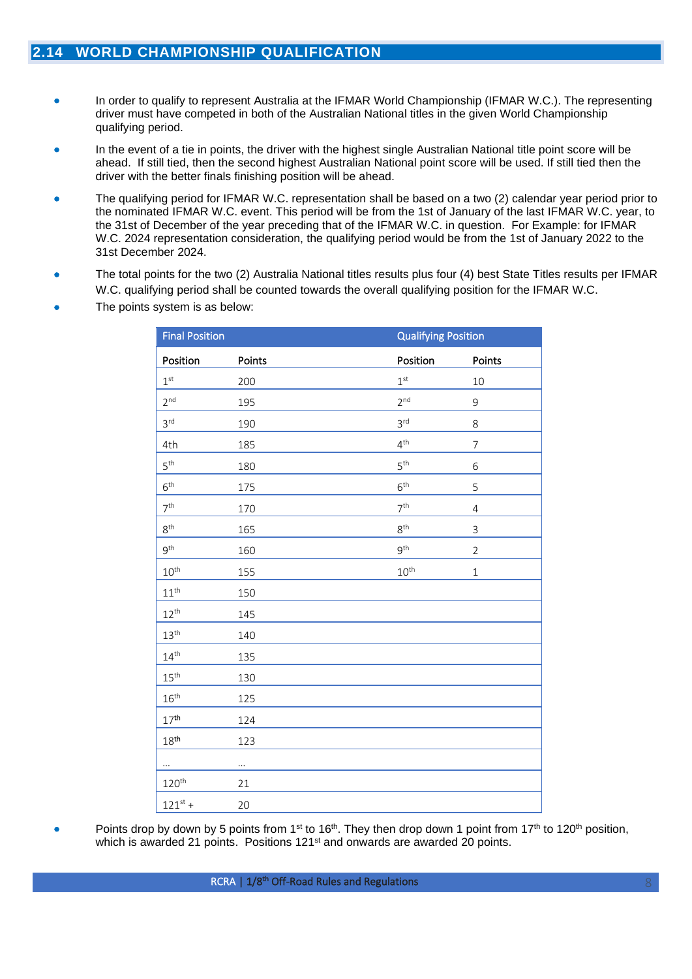- <span id="page-7-0"></span>• In order to qualify to represent Australia at the IFMAR World Championship (IFMAR W.C.). The representing driver must have competed in both of the Australian National titles in the given World Championship qualifying period.
- In the event of a tie in points, the driver with the highest single Australian National title point score will be ahead. If still tied, then the second highest Australian National point score will be used. If still tied then the driver with the better finals finishing position will be ahead.
- The qualifying period for IFMAR W.C. representation shall be based on a two (2) calendar year period prior to the nominated IFMAR W.C. event. This period will be from the 1st of January of the last IFMAR W.C. year, to the 31st of December of the year preceding that of the IFMAR W.C. in question. For Example: for IFMAR W.C. 2024 representation consideration, the qualifying period would be from the 1st of January 2022 to the 31st December 2024.
- The total points for the two (2) Australia National titles results plus four (4) best State Titles results per IFMAR W.C. qualifying period shall be counted towards the overall qualifying position for the IFMAR W.C.
- The points system is as below:

| <b>Final Position</b> |                    | <b>Qualifying Position</b> |                |  |
|-----------------------|--------------------|----------------------------|----------------|--|
| Position              | Points<br>Position |                            | Points         |  |
| 1 <sup>st</sup>       | 200                | 1 <sup>st</sup>            | 10             |  |
| 2 <sup>nd</sup>       | 195                | 2 <sup>nd</sup>            | $\mathsf 9$    |  |
| 3 <sup>rd</sup>       | 190                | 3 <sup>rd</sup>            | $\,8$          |  |
| 4th                   | 185                | $4^{\text{th}}$            | $\overline{7}$ |  |
| $5^{\rm th}$          | 180                | $5^{\rm th}$               | 6              |  |
| $6^{\text{th}}$       | 175                | $6^{\text{th}}$            | 5              |  |
| 7 <sup>th</sup>       | 170                | 7 <sup>th</sup>            | $\sqrt{4}$     |  |
| $8^{\rm th}$          | 165                | $8^{\text{th}}$            | $\mathsf 3$    |  |
| $9^{\rm th}$          | 160                | $9^{\rm th}$               | $\overline{2}$ |  |
| $10^{\text{th}}$      | 155                | $10^{\text{th}}$           | $\mathbf{1}$   |  |
| $11^{th}$             | 150                |                            |                |  |
| $12^{th}$             | 145                |                            |                |  |
| 13 <sup>th</sup>      | 140                |                            |                |  |
| $14^{\text{th}}$      | 135                |                            |                |  |
| 15 <sup>th</sup>      | 130                |                            |                |  |
| 16 <sup>th</sup>      | 125                |                            |                |  |
| 17 <sup>th</sup>      | 124                |                            |                |  |
| 18 <sup>th</sup>      | 123                |                            |                |  |
| $\cdots$              | $\cdots$           |                            |                |  |
| 120 <sup>th</sup>     | 21                 |                            |                |  |
| $121^{st} +$          | 20                 |                            |                |  |

- 
- Points drop by down by 5 points from 1<sup>st</sup> to 16<sup>th</sup>. They then drop down 1 point from 17<sup>th</sup> to 120<sup>th</sup> position, which is awarded 21 points. Positions 121<sup>st</sup> and onwards are awarded 20 points.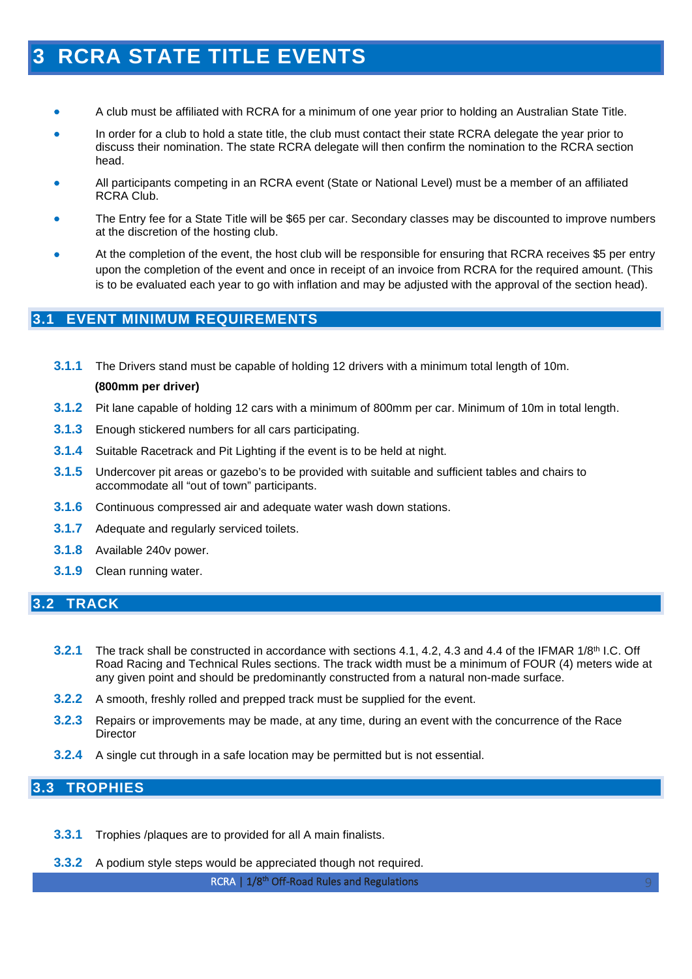## <span id="page-8-0"></span>**3 RCRA STATE TITLE EVENTS**

- A club must be affiliated with RCRA for a minimum of one year prior to holding an Australian State Title.
- In order for a club to hold a state title, the club must contact their state RCRA delegate the year prior to discuss their nomination. The state RCRA delegate will then confirm the nomination to the RCRA section head.
- All participants competing in an RCRA event (State or National Level) must be a member of an affiliated RCRA Club.
- The Entry fee for a State Title will be \$65 per car. Secondary classes may be discounted to improve numbers at the discretion of the hosting club.
- At the completion of the event, the host club will be responsible for ensuring that RCRA receives \$5 per entry upon the completion of the event and once in receipt of an invoice from RCRA for the required amount. (This is to be evaluated each year to go with inflation and may be adjusted with the approval of the section head).

## <span id="page-8-1"></span>**3.1 EVENT MINIMUM REQUIREMENTS**

- **3.1.1** The Drivers stand must be capable of holding 12 drivers with a minimum total length of 10m. **(800mm per driver)**
- **3.1.2** Pit lane capable of holding 12 cars with a minimum of 800mm per car. Minimum of 10m in total length.
- **3.1.3** Enough stickered numbers for all cars participating.
- **3.1.4** Suitable Racetrack and Pit Lighting if the event is to be held at night.
- **3.1.5** Undercover pit areas or gazebo's to be provided with suitable and sufficient tables and chairs to accommodate all "out of town" participants.
- **3.1.6** Continuous compressed air and adequate water wash down stations.
- **3.1.7** Adequate and regularly serviced toilets.
- **3.1.8** Available 240v power.
- **3.1.9** Clean running water.

#### <span id="page-8-2"></span>**3.2 TRACK**

- **3.2.1** The track shall be constructed in accordance with sections 4.1, 4.2, 4.3 and 4.4 of the IFMAR 1/8<sup>th</sup> I.C. Off Road Racing and Technical Rules sections. The track width must be a minimum of FOUR (4) meters wide at any given point and should be predominantly constructed from a natural non-made surface.
- **3.2.2** A smooth, freshly rolled and prepped track must be supplied for the event.
- **3.2.3** Repairs or improvements may be made, at any time, during an event with the concurrence of the Race **Director**
- **3.2.4** A single cut through in a safe location may be permitted but is not essential.

## <span id="page-8-3"></span>**3.3 TROPHIES**

- **3.3.1** Trophies /plaques are to provided for all A main finalists.
- **3.3.2** A podium style steps would be appreciated though not required.

RCRA | 1/8<sup>th</sup> Off-Road Rules and Regulations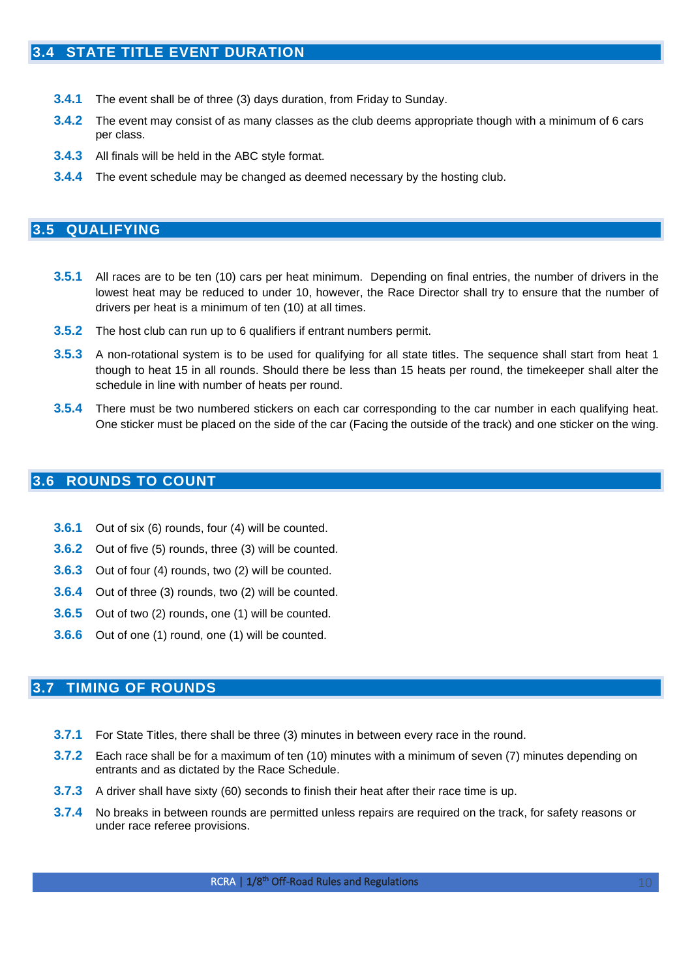- <span id="page-9-0"></span>**3.4.1** The event shall be of three (3) days duration, from Friday to Sunday.
- **3.4.2** The event may consist of as many classes as the club deems appropriate though with a minimum of 6 cars per class.
- **3.4.3** All finals will be held in the ABC style format.
- **3.4.4** The event schedule may be changed as deemed necessary by the hosting club.

#### <span id="page-9-1"></span>**3.5 QUALIFYING**

- **3.5.1** All races are to be ten (10) cars per heat minimum. Depending on final entries, the number of drivers in the lowest heat may be reduced to under 10, however, the Race Director shall try to ensure that the number of drivers per heat is a minimum of ten (10) at all times.
- **3.5.2** The host club can run up to 6 qualifiers if entrant numbers permit.
- **3.5.3** A non-rotational system is to be used for qualifying for all state titles. The sequence shall start from heat 1 though to heat 15 in all rounds. Should there be less than 15 heats per round, the timekeeper shall alter the schedule in line with number of heats per round.
- **3.5.4** There must be two numbered stickers on each car corresponding to the car number in each qualifying heat. One sticker must be placed on the side of the car (Facing the outside of the track) and one sticker on the wing.

#### <span id="page-9-2"></span>**3.6 ROUNDS TO COUNT**

- **3.6.1** Out of six (6) rounds, four (4) will be counted.
- **3.6.2** Out of five (5) rounds, three (3) will be counted.
- **3.6.3** Out of four (4) rounds, two (2) will be counted.
- **3.6.4** Out of three (3) rounds, two (2) will be counted.
- **3.6.5** Out of two (2) rounds, one (1) will be counted.
- **3.6.6** Out of one (1) round, one (1) will be counted.

## <span id="page-9-3"></span>**3.7 TIMING OF ROUNDS**

- **3.7.1** For State Titles, there shall be three (3) minutes in between every race in the round.
- **3.7.2** Each race shall be for a maximum of ten (10) minutes with a minimum of seven (7) minutes depending on entrants and as dictated by the Race Schedule.
- **3.7.3** A driver shall have sixty (60) seconds to finish their heat after their race time is up.
- **3.7.4** No breaks in between rounds are permitted unless repairs are required on the track, for safety reasons or under race referee provisions.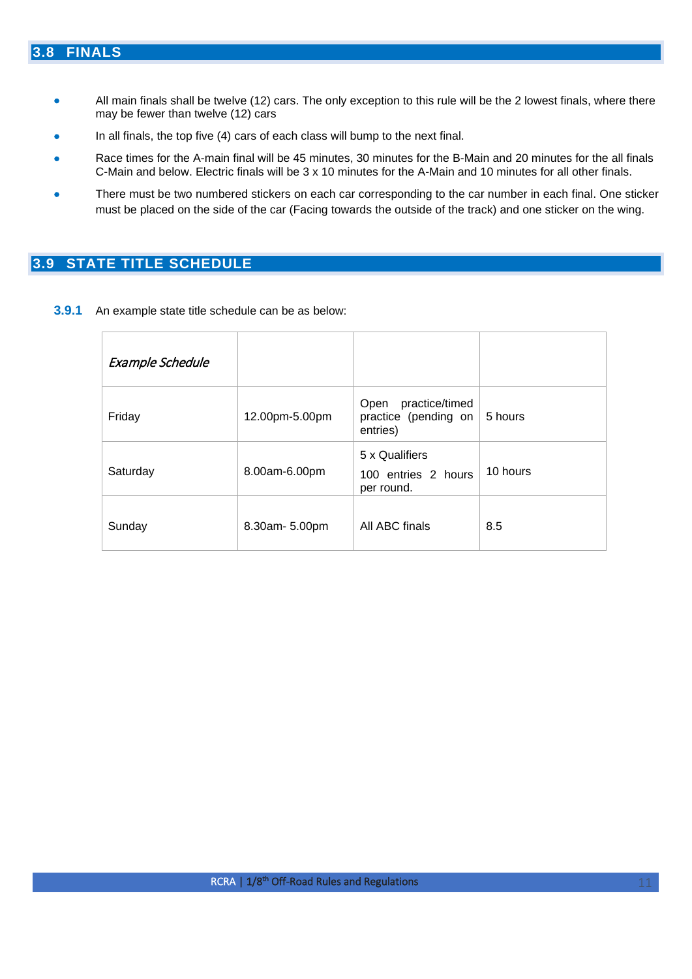## <span id="page-10-0"></span>**3.8 FINALS**

- All main finals shall be twelve (12) cars. The only exception to this rule will be the 2 lowest finals, where there may be fewer than twelve (12) cars
- In all finals, the top five (4) cars of each class will bump to the next final.
- Race times for the A-main final will be 45 minutes, 30 minutes for the B-Main and 20 minutes for the all finals C-Main and below. Electric finals will be 3 x 10 minutes for the A-Main and 10 minutes for all other finals.
- There must be two numbered stickers on each car corresponding to the car number in each final. One sticker must be placed on the side of the car (Facing towards the outside of the track) and one sticker on the wing.

## <span id="page-10-1"></span>**3.9 STATE TITLE SCHEDULE**

**3.9.1** An example state title schedule can be as below:

| Example Schedule |                |                                                            |          |
|------------------|----------------|------------------------------------------------------------|----------|
| Friday           | 12.00pm-5.00pm | practice/timed<br>Open<br>practice (pending on<br>entries) | 5 hours  |
| Saturday         | 8.00am-6.00pm  | 5 x Qualifiers<br>100 entries 2 hours<br>per round.        | 10 hours |
| Sunday           | 8.30am- 5.00pm | All ABC finals                                             | 8.5      |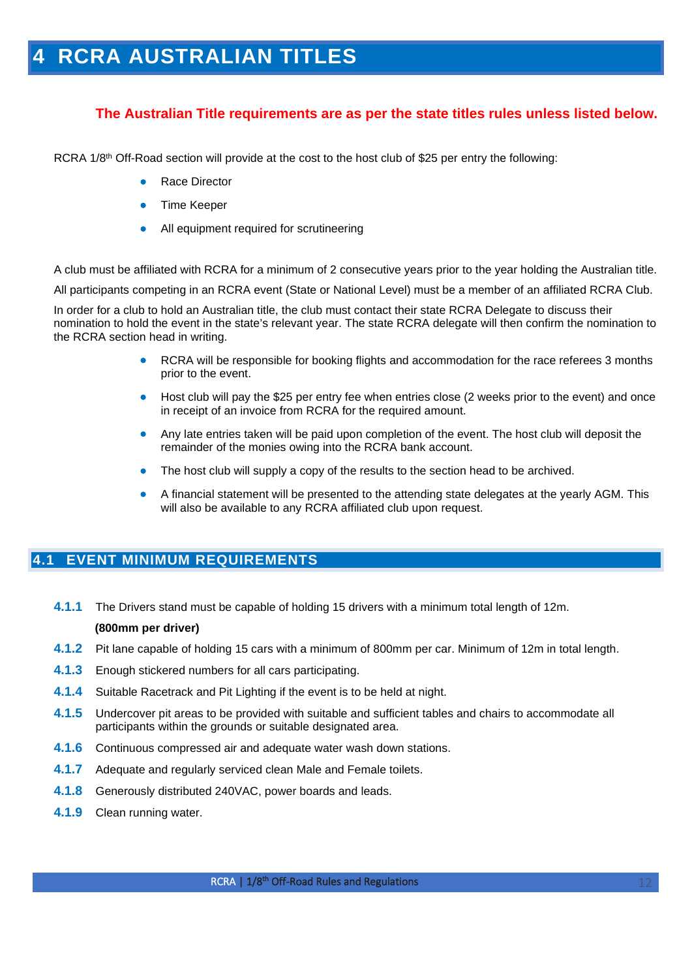## <span id="page-11-0"></span>**4 RCRA AUSTRALIAN TITLES**

## **The Australian Title requirements are as per the state titles rules unless listed below.**

RCRA 1/8<sup>th</sup> Off-Road section will provide at the cost to the host club of \$25 per entry the following:

- Race Director
- Time Keeper
- All equipment required for scrutineering

A club must be affiliated with RCRA for a minimum of 2 consecutive years prior to the year holding the Australian title.

All participants competing in an RCRA event (State or National Level) must be a member of an affiliated RCRA Club.

In order for a club to hold an Australian title, the club must contact their state RCRA Delegate to discuss their nomination to hold the event in the state's relevant year. The state RCRA delegate will then confirm the nomination to the RCRA section head in writing.

- RCRA will be responsible for booking flights and accommodation for the race referees 3 months prior to the event.
- Host club will pay the \$25 per entry fee when entries close (2 weeks prior to the event) and once in receipt of an invoice from RCRA for the required amount.
- Any late entries taken will be paid upon completion of the event. The host club will deposit the remainder of the monies owing into the RCRA bank account.
- The host club will supply a copy of the results to the section head to be archived.
- A financial statement will be presented to the attending state delegates at the yearly AGM. This will also be available to any RCRA affiliated club upon request.

### <span id="page-11-1"></span>**4.1 EVENT MINIMUM REQUIREMENTS**

**4.1.1** The Drivers stand must be capable of holding 15 drivers with a minimum total length of 12m.

#### **(800mm per driver)**

- **4.1.2** Pit lane capable of holding 15 cars with a minimum of 800mm per car. Minimum of 12m in total length.
- **4.1.3** Enough stickered numbers for all cars participating.
- **4.1.4** Suitable Racetrack and Pit Lighting if the event is to be held at night.
- **4.1.5** Undercover pit areas to be provided with suitable and sufficient tables and chairs to accommodate all participants within the grounds or suitable designated area.
- **4.1.6** Continuous compressed air and adequate water wash down stations.
- **4.1.7** Adequate and regularly serviced clean Male and Female toilets.
- **4.1.8** Generously distributed 240VAC, power boards and leads.
- **4.1.9** Clean running water.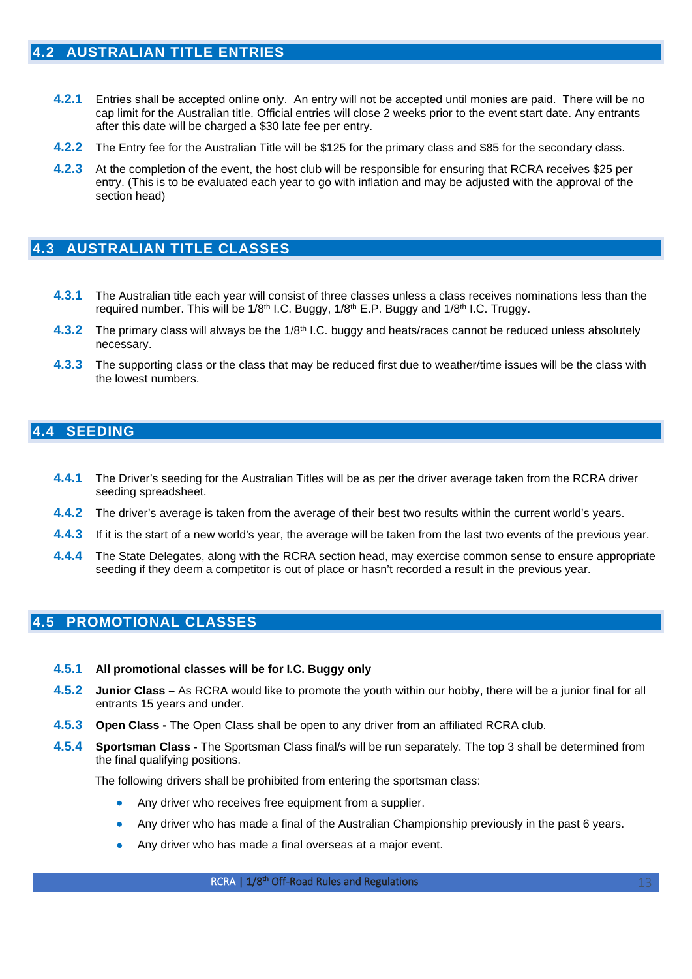- <span id="page-12-0"></span>**4.2.1** Entries shall be accepted online only. An entry will not be accepted until monies are paid. There will be no cap limit for the Australian title. Official entries will close 2 weeks prior to the event start date. Any entrants after this date will be charged a \$30 late fee per entry.
- **4.2.2** The Entry fee for the Australian Title will be \$125 for the primary class and \$85 for the secondary class.
- **4.2.3** At the completion of the event, the host club will be responsible for ensuring that RCRA receives \$25 per entry. (This is to be evaluated each year to go with inflation and may be adjusted with the approval of the section head)

## <span id="page-12-1"></span>**4.3 AUSTRALIAN TITLE CLASSES**

- **4.3.1** The Australian title each year will consist of three classes unless a class receives nominations less than the required number. This will be  $1/8<sup>th</sup>$  I.C. Buggy,  $1/8<sup>th</sup>$  E.P. Buggy and  $1/8<sup>th</sup>$  I.C. Truggy.
- **4.3.2** The primary class will always be the 1/8<sup>th</sup> I.C. buggy and heats/races cannot be reduced unless absolutely necessary.
- **4.3.3** The supporting class or the class that may be reduced first due to weather/time issues will be the class with the lowest numbers.

## <span id="page-12-2"></span>**4.4 SEEDING**

- **4.4.1** The Driver's seeding for the Australian Titles will be as per the driver average taken from the RCRA driver seeding spreadsheet.
- **4.4.2** The driver's average is taken from the average of their best two results within the current world's years.
- **4.4.3** If it is the start of a new world's year, the average will be taken from the last two events of the previous year.
- **4.4.4** The State Delegates, along with the RCRA section head, may exercise common sense to ensure appropriate seeding if they deem a competitor is out of place or hasn't recorded a result in the previous year.

## <span id="page-12-3"></span>**4.5 PROMOTIONAL CLASSES**

#### **4.5.1 All promotional classes will be for I.C. Buggy only**

- **4.5.2 Junior Class –** As RCRA would like to promote the youth within our hobby, there will be a junior final for all entrants 15 years and under.
- **4.5.3 Open Class -** The Open Class shall be open to any driver from an affiliated RCRA club.
- **4.5.4 Sportsman Class -** The Sportsman Class final/s will be run separately. The top 3 shall be determined from the final qualifying positions.

The following drivers shall be prohibited from entering the sportsman class:

- Any driver who receives free equipment from a supplier.
- Any driver who has made a final of the Australian Championship previously in the past 6 years.
- Any driver who has made a final overseas at a major event.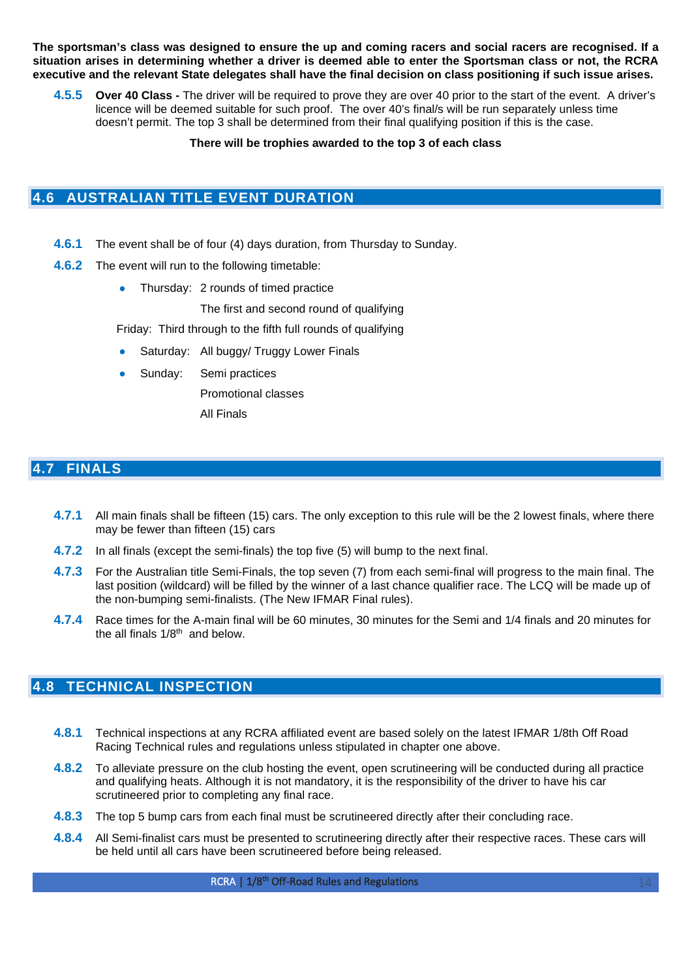**The sportsman's class was designed to ensure the up and coming racers and social racers are recognised. If a situation arises in determining whether a driver is deemed able to enter the Sportsman class or not, the RCRA executive and the relevant State delegates shall have the final decision on class positioning if such issue arises.** 

**4.5.5 Over 40 Class -** The driver will be required to prove they are over 40 prior to the start of the event. A driver's licence will be deemed suitable for such proof. The over 40's final/s will be run separately unless time doesn't permit. The top 3 shall be determined from their final qualifying position if this is the case.

#### **There will be trophies awarded to the top 3 of each class**

## <span id="page-13-0"></span>**4.6 AUSTRALIAN TITLE EVENT DURATION**

- **4.6.1** The event shall be of four (4) days duration, from Thursday to Sunday.
- **4.6.2** The event will run to the following timetable:
	- Thursday: 2 rounds of timed practice

The first and second round of qualifying

Friday: Third through to the fifth full rounds of qualifying

- Saturday: All buggy/ Truggy Lower Finals
- Sunday: Semi practices

Promotional classes

All Finals

#### <span id="page-13-1"></span>**4.7 FINALS**

- **4.7.1** All main finals shall be fifteen (15) cars. The only exception to this rule will be the 2 lowest finals, where there may be fewer than fifteen (15) cars
- **4.7.2** In all finals (except the semi-finals) the top five (5) will bump to the next final.
- **4.7.3** For the Australian title Semi-Finals, the top seven (7) from each semi-final will progress to the main final. The last position (wildcard) will be filled by the winner of a last chance qualifier race. The LCQ will be made up of the non-bumping semi-finalists. (The New IFMAR Final rules).
- **4.7.4** Race times for the A-main final will be 60 minutes, 30 minutes for the Semi and 1/4 finals and 20 minutes for the all finals 1/8th and below.

## **4.8 TECHNICAL INSPECTION**

- **4.8.1** Technical inspections at any RCRA affiliated event are based solely on the latest IFMAR 1/8th Off Road Racing Technical rules and regulations unless stipulated in chapter one above.
- **4.8.2** To alleviate pressure on the club hosting the event, open scrutineering will be conducted during all practice and qualifying heats. Although it is not mandatory, it is the responsibility of the driver to have his car scrutineered prior to completing any final race.
- **4.8.3** The top 5 bump cars from each final must be scrutineered directly after their concluding race.
- **4.8.4** All Semi-finalist cars must be presented to scrutineering directly after their respective races. These cars will be held until all cars have been scrutineered before being released.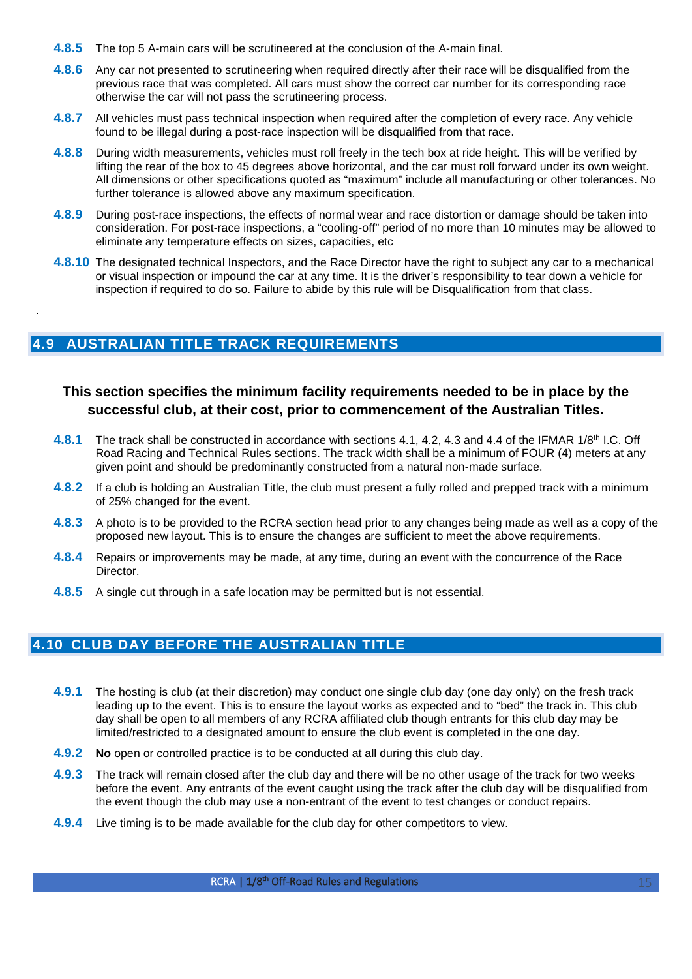- **4.8.5** The top 5 A-main cars will be scrutineered at the conclusion of the A-main final.
- **4.8.6** Any car not presented to scrutineering when required directly after their race will be disqualified from the previous race that was completed. All cars must show the correct car number for its corresponding race otherwise the car will not pass the scrutineering process.
- **4.8.7** All vehicles must pass technical inspection when required after the completion of every race. Any vehicle found to be illegal during a post-race inspection will be disqualified from that race.
- **4.8.8** During width measurements, vehicles must roll freely in the tech box at ride height. This will be verified by lifting the rear of the box to 45 degrees above horizontal, and the car must roll forward under its own weight. All dimensions or other specifications quoted as "maximum" include all manufacturing or other tolerances. No further tolerance is allowed above any maximum specification.
- **4.8.9** During post-race inspections, the effects of normal wear and race distortion or damage should be taken into consideration. For post-race inspections, a "cooling-off" period of no more than 10 minutes may be allowed to eliminate any temperature effects on sizes, capacities, etc
- **4.8.10** The designated technical Inspectors, and the Race Director have the right to subject any car to a mechanical or visual inspection or impound the car at any time. It is the driver's responsibility to tear down a vehicle for inspection if required to do so. Failure to abide by this rule will be Disqualification from that class.

## <span id="page-14-0"></span>**4.9 AUSTRALIAN TITLE TRACK REQUIREMENTS**

.

## **This section specifies the minimum facility requirements needed to be in place by the successful club, at their cost, prior to commencement of the Australian Titles.**

- **4.8.1** The track shall be constructed in accordance with sections 4.1, 4.2, 4.3 and 4.4 of the IFMAR 1/8<sup>th</sup> I.C. Off Road Racing and Technical Rules sections. The track width shall be a minimum of FOUR (4) meters at any given point and should be predominantly constructed from a natural non-made surface.
- **4.8.2** If a club is holding an Australian Title, the club must present a fully rolled and prepped track with a minimum of 25% changed for the event.
- **4.8.3** A photo is to be provided to the RCRA section head prior to any changes being made as well as a copy of the proposed new layout. This is to ensure the changes are sufficient to meet the above requirements.
- **4.8.4** Repairs or improvements may be made, at any time, during an event with the concurrence of the Race Director.
- **4.8.5** A single cut through in a safe location may be permitted but is not essential.

## <span id="page-14-1"></span>**4.10 CLUB DAY BEFORE THE AUSTRALIAN TITLE**

- **4.9.1** The hosting is club (at their discretion) may conduct one single club day (one day only) on the fresh track leading up to the event. This is to ensure the layout works as expected and to "bed" the track in. This club day shall be open to all members of any RCRA affiliated club though entrants for this club day may be limited/restricted to a designated amount to ensure the club event is completed in the one day.
- **4.9.2 No** open or controlled practice is to be conducted at all during this club day.
- **4.9.3** The track will remain closed after the club day and there will be no other usage of the track for two weeks before the event. Any entrants of the event caught using the track after the club day will be disqualified from the event though the club may use a non-entrant of the event to test changes or conduct repairs.
- **4.9.4** Live timing is to be made available for the club day for other competitors to view.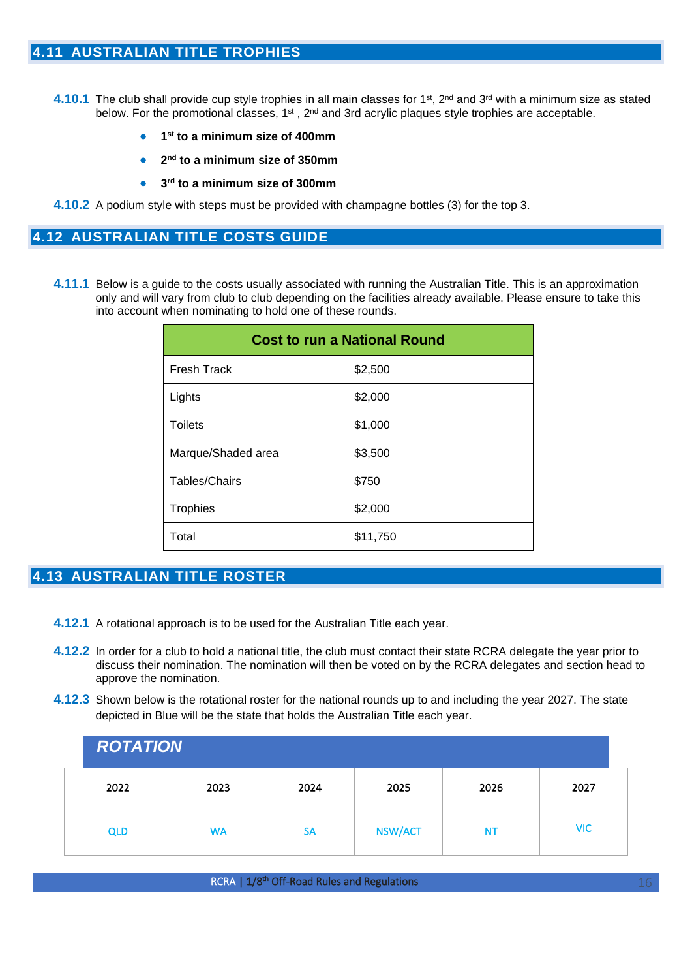- <span id="page-15-0"></span>**4.10.1** The club shall provide cup style trophies in all main classes for 1st, 2nd and 3rd with a minimum size as stated below. For the promotional classes, 1<sup>st</sup>, 2<sup>nd</sup> and 3rd acrylic plaques style trophies are acceptable.
	- **1st to a minimum size of 400mm**
	- **2nd to a minimum size of 350mm**
	- **3rd to a minimum size of 300mm**
- <span id="page-15-1"></span>**4.10.2** A podium style with steps must be provided with champagne bottles (3) for the top 3.

#### **4.12 AUSTRALIAN TITLE COSTS GUIDE**

**4.11.1** Below is a guide to the costs usually associated with running the Australian Title. This is an approximation only and will vary from club to club depending on the facilities already available. Please ensure to take this into account when nominating to hold one of these rounds.

| <b>Cost to run a National Round</b> |          |  |  |
|-------------------------------------|----------|--|--|
| <b>Fresh Track</b>                  | \$2,500  |  |  |
| Lights                              | \$2,000  |  |  |
| <b>Toilets</b>                      | \$1,000  |  |  |
| Marque/Shaded area                  | \$3,500  |  |  |
| Tables/Chairs                       | \$750    |  |  |
| <b>Trophies</b>                     | \$2,000  |  |  |
| Total                               | \$11,750 |  |  |

## <span id="page-15-2"></span>**4.13 AUSTRALIAN TITLE ROSTER**

- **4.12.1** A rotational approach is to be used for the Australian Title each year.
- **4.12.2** In order for a club to hold a national title, the club must contact their state RCRA delegate the year prior to discuss their nomination. The nomination will then be voted on by the RCRA delegates and section head to approve the nomination.
- **4.12.3** Shown below is the rotational roster for the national rounds up to and including the year 2027. The state depicted in Blue will be the state that holds the Australian Title each year.

|            | <b>ROTATION</b> |           |                |      |            |  |  |
|------------|-----------------|-----------|----------------|------|------------|--|--|
| 2022       | 2023            | 2024      | 2025           | 2026 | 2027       |  |  |
| <b>QLD</b> | <b>WA</b>       | <b>SA</b> | <b>NSW/ACT</b> | ΝT   | <b>VIC</b> |  |  |